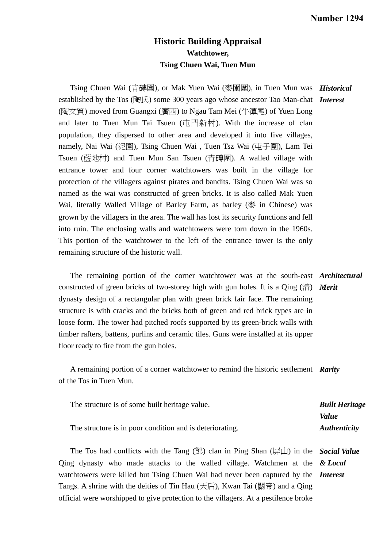## **Historic Building Appraisal Watchtower, Tsing Chuen Wai, Tuen Mun**

Tsing Chuen Wai (青磚圍), or Mak Yuen Wai (麥園圍), in Tuen Mun was *Historical*  established by the Tos (陶氏) some 300 years ago whose ancestor Tao Man-chat *Interest*  (陶文質) moved from Guangxi (廣西) to Ngau Tam Mei (牛潭尾) of Yuen Long and later to Tuen Mun Tai Tsuen (屯門新村). With the increase of clan population, they dispersed to other area and developed it into five villages, namely, Nai Wai (泥圍), Tsing Chuen Wai, Tuen Tsz Wai (屯子圍), Lam Tei Tsuen (藍地村) and Tuen Mun San Tsuen (青磚圍). A walled village with entrance tower and four corner watchtowers was built in the village for protection of the villagers against pirates and bandits. Tsing Chuen Wai was so named as the wai was constructed of green bricks. It is also called Mak Yuen Wai, literally Walled Village of Barley Farm, as barley (麥 in Chinese) was grown by the villagers in the area. The wall has lost its security functions and fell into ruin. The enclosing walls and watchtowers were torn down in the 1960s. This portion of the watchtower to the left of the entrance tower is the only remaining structure of the historic wall.

 The remaining portion of the corner watchtower was at the south-east *Architectural*  constructed of green bricks of two-storey high with gun holes. It is a Qing (清) *Merit*  dynasty design of a rectangular plan with green brick fair face. The remaining structure is with cracks and the bricks both of green and red brick types are in loose form. The tower had pitched roofs supported by its green-brick walls with timber rafters, battens, purlins and ceramic tiles. Guns were installed at its upper floor ready to fire from the gun holes.

 A remaining portion of a corner watchtower to remind the historic settlement *Rarity*  of the Tos in Tuen Mun.

| The structure is of some built heritage value.           | <b>Built Heritage</b> |
|----------------------------------------------------------|-----------------------|
|                                                          | <i>Value</i>          |
| The structure is in poor condition and is deteriorating. | <b>Authenticity</b>   |

 The Tos had conflicts with the Tang (鄧) clan in Ping Shan (屏山) in the *Social Value*  Qing dynasty who made attacks to the walled village. Watchmen at the *& Local*  watchtowers were killed but Tsing Chuen Wai had never been captured by the *Interest*  Tangs. A shrine with the deities of Tin Hau (天后), Kwan Tai (關帝) and a Qing official were worshipped to give protection to the villagers. At a pestilence broke